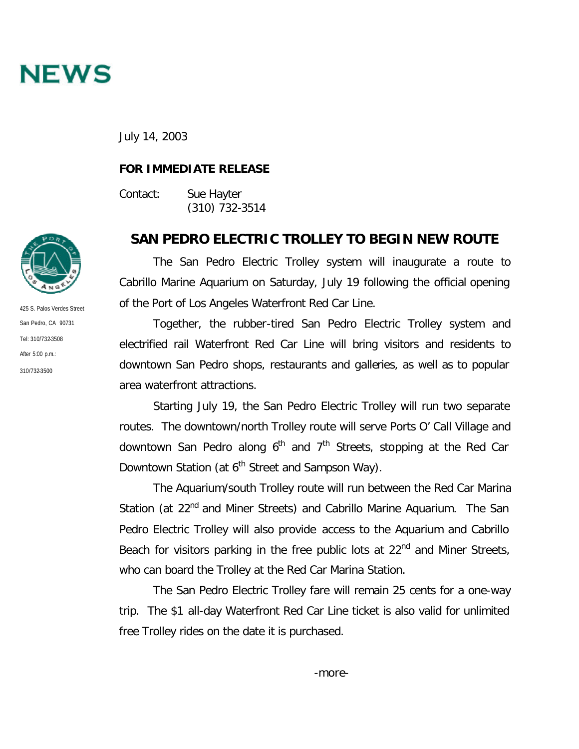

July 14, 2003

## **FOR IMMEDIATE RELEASE**

Contact: Sue Hayter (310) 732-3514

## **SAN PEDRO ELECTRIC TROLLEY TO BEGIN NEW ROUTE**

The San Pedro Electric Trolley system will inaugurate a route to Cabrillo Marine Aquarium on Saturday, July 19 following the official opening of the Port of Los Angeles Waterfront Red Car Line.

Together, the rubber-tired San Pedro Electric Trolley system and electrified rail Waterfront Red Car Line will bring visitors and residents to downtown San Pedro shops, restaurants and galleries, as well as to popular area waterfront attractions.

Starting July 19, the San Pedro Electric Trolley will run two separate routes. The downtown/north Trolley route will serve Ports O' Call Village and downtown San Pedro along  $6<sup>th</sup>$  and  $7<sup>th</sup>$  Streets, stopping at the Red Car Downtown Station (at 6<sup>th</sup> Street and Sampson Way).

The Aquarium/south Trolley route will run between the Red Car Marina Station (at 22<sup>nd</sup> and Miner Streets) and Cabrillo Marine Aquarium. The San Pedro Electric Trolley will also provide access to the Aquarium and Cabrillo Beach for visitors parking in the free public lots at 22<sup>nd</sup> and Miner Streets, who can board the Trolley at the Red Car Marina Station.

The San Pedro Electric Trolley fare will remain 25 cents for a one-way trip. The \$1 all-day Waterfront Red Car Line ticket is also valid for unlimited free Trolley rides on the date it is purchased.



425 S. Palos Verdes Street San Pedro, CA 90731 Tel: 310/732-3508 After 5:00 p.m.: 310/732-3500